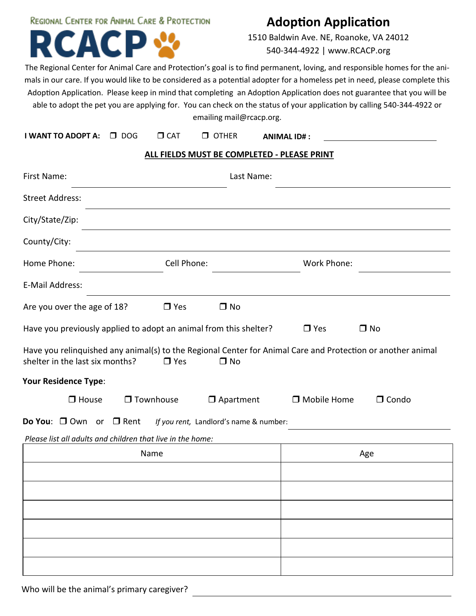# **REGIONAL CENTER FOR ANIMAL CARE & PROTECTION** Δ

# **Adoption Application**

1510 Baldwin Ave. NE, Roanoke, VA 24012 540-344-4922 | www.RCACP.org

The Regional Center for Animal Care and Protection's goal is to find permanent, loving, and responsible homes for the animals in our care. If you would like to be considered as a potential adopter for a homeless pet in need, please complete this Adoption Application. Please keep in mind that completing an Adoption Application does not guarantee that you will be able to adopt the pet you are applying for. You can check on the status of your application by calling 540-344-4922 or emailing mail@rcacp.org.

| I WANT TO ADOPT A: □ DOG |
|--------------------------|
|--------------------------|

**I WANT TO ADOPT A:** DOG CAT OTHER **ANIMAL ID# :**

## **ALL FIELDS MUST BE COMPLETED - PLEASE PRINT**

| First Name:                                                                                                                                    | Last Name:       |                                        |                    |              |  |  |  |  |
|------------------------------------------------------------------------------------------------------------------------------------------------|------------------|----------------------------------------|--------------------|--------------|--|--|--|--|
| <b>Street Address:</b>                                                                                                                         |                  |                                        |                    |              |  |  |  |  |
| City/State/Zip:                                                                                                                                |                  |                                        |                    |              |  |  |  |  |
| County/City:                                                                                                                                   |                  |                                        |                    |              |  |  |  |  |
| Home Phone:                                                                                                                                    | Cell Phone:      |                                        | Work Phone:        |              |  |  |  |  |
| E-Mail Address:                                                                                                                                |                  |                                        |                    |              |  |  |  |  |
| Are you over the age of 18?                                                                                                                    | $\Box$ Yes       | $\Box$ No                              |                    |              |  |  |  |  |
| Have you previously applied to adopt an animal from this shelter?                                                                              |                  |                                        | $\Box$ Yes         | $\Box$ No    |  |  |  |  |
| Have you relinquished any animal(s) to the Regional Center for Animal Care and Protection or another animal<br>shelter in the last six months? | $\Box$ Yes       | $\square$ No                           |                    |              |  |  |  |  |
| <b>Your Residence Type:</b>                                                                                                                    |                  |                                        |                    |              |  |  |  |  |
| $\Box$ House                                                                                                                                   | $\Box$ Townhouse | $\Box$ Apartment                       | $\Box$ Mobile Home | $\Box$ Condo |  |  |  |  |
| Do You: □ Own or □ Rent                                                                                                                        |                  | If you rent, Landlord's name & number: |                    |              |  |  |  |  |
| Please list all adults and children that live in the home:                                                                                     |                  |                                        |                    |              |  |  |  |  |
|                                                                                                                                                | Name             |                                        | Age                |              |  |  |  |  |
|                                                                                                                                                |                  |                                        |                    |              |  |  |  |  |
|                                                                                                                                                |                  |                                        |                    |              |  |  |  |  |
|                                                                                                                                                |                  |                                        |                    |              |  |  |  |  |
|                                                                                                                                                |                  |                                        |                    |              |  |  |  |  |
|                                                                                                                                                |                  |                                        |                    |              |  |  |  |  |
|                                                                                                                                                |                  |                                        |                    |              |  |  |  |  |